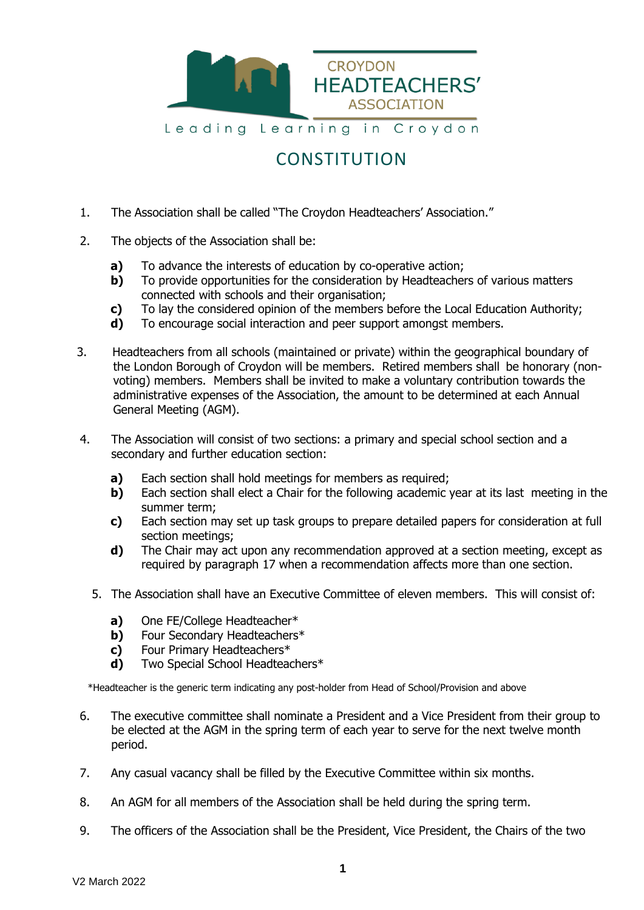

## **CONSTITUTION**

- 1. The Association shall be called "The Croydon Headteachers' Association."
- 2. The objects of the Association shall be:
	- **a)** To advance the interests of education by co-operative action;
	- **b)** To provide opportunities for the consideration by Headteachers of various matters connected with schools and their organisation;
	- **c)** To lay the considered opinion of the members before the Local Education Authority;
	- **d)** To encourage social interaction and peer support amongst members.
- 3. Headteachers from all schools (maintained or private) within the geographical boundary of the London Borough of Croydon will be members. Retired members shall be honorary (nonvoting) members. Members shall be invited to make a voluntary contribution towards the administrative expenses of the Association, the amount to be determined at each Annual General Meeting (AGM).
- 4. The Association will consist of two sections: a primary and special school section and a secondary and further education section:
	- **a)** Each section shall hold meetings for members as required;
	- **b)** Each section shall elect a Chair for the following academic year at its last meeting in the summer term;
	- **c)** Each section may set up task groups to prepare detailed papers for consideration at full section meetings;
	- **d)** The Chair may act upon any recommendation approved at a section meeting, except as required by paragraph 17 when a recommendation affects more than one section.
	- 5. The Association shall have an Executive Committee of eleven members. This will consist of:
		- **a)** One FE/College Headteacher\*
		- **b)** Four Secondary Headteachers\*
		- **c)** Four Primary Headteachers\*
		- **d)** Two Special School Headteachers\*

\*Headteacher is the generic term indicating any post-holder from Head of School/Provision and above

- 6. The executive committee shall nominate a President and a Vice President from their group to be elected at the AGM in the spring term of each year to serve for the next twelve month period.
- 7. Any casual vacancy shall be filled by the Executive Committee within six months.
- 8. An AGM for all members of the Association shall be held during the spring term.
- 9. The officers of the Association shall be the President, Vice President, the Chairs of the two